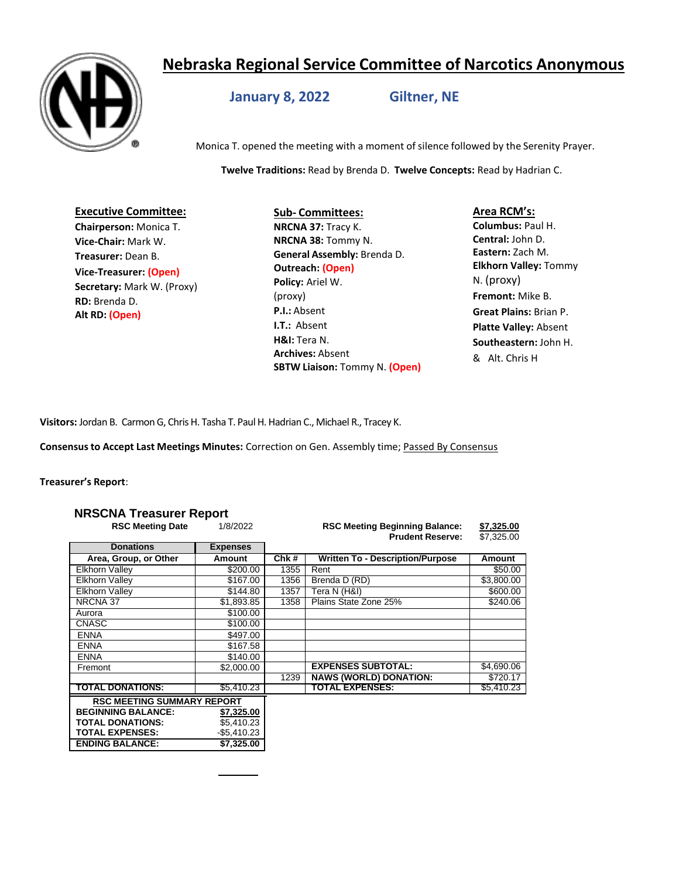# **Nebraska Regional Service Committee of Narcotics Anonymous**



# **January 8, 2022 Giltner, NE**

Monica T. opened the meeting with a moment of silence followed by the Serenity Prayer.

**Twelve Traditions:** Read by Brenda D. **Twelve Concepts:** Read by Hadrian C.

#### **Executive Committee: Chairperson:** Monica T.

**Vice-Chair:** Mark W. **Treasurer:** Dean B. **Vice-Treasurer: (Open) Secretary:** Mark W. (Proxy) **RD:** Brenda D. **Alt RD: (Open)**

## **Sub- Committees: NRCNA 37:** Tracy K. **NRCNA 38:** Tommy N. **General Assembly:** Brenda D. **Outreach: (Open) Policy:** Ariel W. (proxy) **P.I.:** Absent **I.T.:** Absent **H&I:** Tera N. **Archives:** Absent **SBTW Liaison:** Tommy N. **(Open)**

## **Area RCM's:**

**Columbus:** Paul H. **Central:** John D. **Eastern:** Zach M. **Elkhorn Valley:** Tommy N. (proxy) **Fremont:** Mike B. **Great Plains:** Brian P. **Platte Valley:** Absent **Southeastern:** John H. & Alt. Chris H

**Visitors:** Jordan B. Carmon G, Chris H. Tasha T. Paul H. Hadrian C., Michael R., Tracey K.

**Consensusto Accept Last Meetings Minutes:** Correction on Gen. Assembly time; Passed By Consensus

## **Treasurer's Report**:

## **NRSCNA Treasurer Report**

| <b>RSC Meeting Date</b>           | 1/8/2022        |      | <b>RSC Meeting Beginning Balance:</b><br><b>Prudent Reserve:</b> | \$7,325.00<br>\$7,325.00 |
|-----------------------------------|-----------------|------|------------------------------------------------------------------|--------------------------|
| <b>Donations</b>                  | <b>Expenses</b> |      |                                                                  |                          |
| Area, Group, or Other             | Amount          | Chk# | <b>Written To - Description/Purpose</b>                          | Amount                   |
| <b>Elkhorn Valley</b>             | \$200.00        | 1355 | Rent                                                             | \$50.00                  |
| <b>Elkhorn Valley</b>             | \$167.00        | 1356 | Brenda D (RD)                                                    | \$3,800.00               |
| Elkhorn Valley                    | \$144.80        | 1357 | Tera N (H&I)                                                     | \$600.00                 |
| NRCNA 37                          | \$1,893.85      | 1358 | Plains State Zone 25%                                            | \$240.06                 |
| Aurora                            | \$100.00        |      |                                                                  |                          |
| <b>CNASC</b>                      | \$100.00        |      |                                                                  |                          |
| <b>ENNA</b>                       | \$497.00        |      |                                                                  |                          |
| <b>ENNA</b>                       | \$167.58        |      |                                                                  |                          |
| <b>ENNA</b>                       | \$140.00        |      |                                                                  |                          |
| Fremont                           | \$2,000.00      |      | <b>EXPENSES SUBTOTAL:</b>                                        | \$4,690.06               |
|                                   |                 | 1239 | <b>NAWS (WORLD) DONATION:</b>                                    | \$720.17                 |
| TOTAL DONATIONS:                  | \$5.410.23      |      | <b>TOTAL EXPENSES:</b>                                           | \$5,410.23               |
| <b>RSC MEETING SUMMARY REPORT</b> |                 |      |                                                                  |                          |
| <b>BEGINNING BALANCE:</b>         | \$7,325.00      |      |                                                                  |                          |
| <b>TOTAL DONATIONS:</b>           | \$5,410.23      |      |                                                                  |                          |
| <b>TOTAL EXPENSES:</b>            | $-$5,410.23$    |      |                                                                  |                          |
| <b>ENDING BALANCE:</b>            | \$7,325.00      |      |                                                                  |                          |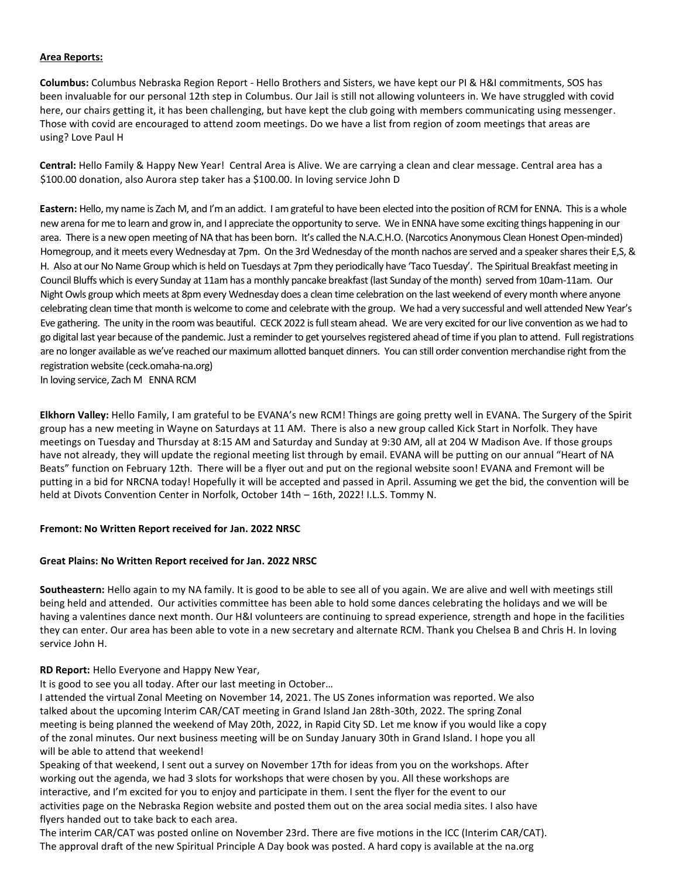#### **Area Reports:**

**Columbus:** Columbus Nebraska Region Report - Hello Brothers and Sisters, we have kept our PI & H&I commitments, SOS has been invaluable for our personal 12th step in Columbus. Our Jail is still not allowing volunteers in. We have struggled with covid here, our chairs getting it, it has been challenging, but have kept the club going with members communicating using messenger. Those with covid are encouraged to attend zoom meetings. Do we have a list from region of zoom meetings that areas are using? Love Paul H

**Central:** Hello Family & Happy New Year! Central Area is Alive. We are carrying a clean and clear message. Central area has a \$100.00 donation, also Aurora step taker has a \$100.00. In loving service John D

**Eastern:** Hello, my name is Zach M, and I'm an addict. I am grateful to have been elected into the position of RCM for ENNA. This is a whole new arena for me to learn and grow in, and I appreciate the opportunity to serve. We in ENNA have some exciting things happening in our area. There is a new open meeting of NA that has been born. It's called the N.A.C.H.O. (Narcotics Anonymous Clean Honest Open-minded) Homegroup, and it meets every Wednesday at 7pm. On the 3rd Wednesday of the month nachos are served and a speaker shares their E,S, & H. Also at our No Name Group which is held on Tuesdays at 7pm they periodically have 'Taco Tuesday'. The Spiritual Breakfast meeting in Council Bluffs which is every Sunday at 11am has a monthly pancake breakfast (last Sunday of the month) served from 10am-11am. Our Night Owls group which meets at 8pm every Wednesday does a clean time celebration on the last weekend of every month where anyone celebrating clean time that month is welcome to come and celebrate with the group. We had a very successful and well attended New Year's Eve gathering. The unity in the room was beautiful. CECK 2022 is full steam ahead. We are very excited for our live convention as we had to go digital last year because of the pandemic. Just a reminder to get yourselves registered ahead of time if you plan to attend. Full registrations are no longer available as we've reached our maximum allotted banquet dinners. You can still order convention merchandise right from the registration website (ceck.omaha-na.org)

In loving service, Zach M ENNA RCM

**Elkhorn Valley:** Hello Family, I am grateful to be EVANA's new RCM! Things are going pretty well in EVANA. The Surgery of the Spirit group has a new meeting in Wayne on Saturdays at 11 AM. There is also a new group called Kick Start in Norfolk. They have meetings on Tuesday and Thursday at 8:15 AM and Saturday and Sunday at 9:30 AM, all at 204 W Madison Ave. If those groups have not already, they will update the regional meeting list through by email. EVANA will be putting on our annual "Heart of NA Beats" function on February 12th. There will be a flyer out and put on the regional website soon! EVANA and Fremont will be putting in a bid for NRCNA today! Hopefully it will be accepted and passed in April. Assuming we get the bid, the convention will be held at Divots Convention Center in Norfolk, October 14th – 16th, 2022! I.L.S. Tommy N.

#### **Fremont: No Written Report received for Jan. 2022 NRSC**

#### **Great Plains: No Written Report received for Jan. 2022 NRSC**

**Southeastern:** Hello again to my NA family. It is good to be able to see all of you again. We are alive and well with meetings still being held and attended. Our activities committee has been able to hold some dances celebrating the holidays and we will be having a valentines dance next month. Our H&I volunteers are continuing to spread experience, strength and hope in the facilities they can enter. Our area has been able to vote in a new secretary and alternate RCM. Thank you Chelsea B and Chris H. In loving service John H.

**RD Report:** Hello Everyone and Happy New Year,

It is good to see you all today. After our last meeting in October…

I attended the virtual Zonal Meeting on November 14, 2021. The US Zones information was reported. We also talked about the upcoming Interim CAR/CAT meeting in Grand Island Jan 28th-30th, 2022. The spring Zonal meeting is being planned the weekend of May 20th, 2022, in Rapid City SD. Let me know if you would like a copy of the zonal minutes. Our next business meeting will be on Sunday January 30th in Grand Island. I hope you all will be able to attend that weekend!

Speaking of that weekend, I sent out a survey on November 17th for ideas from you on the workshops. After working out the agenda, we had 3 slots for workshops that were chosen by you. All these workshops are interactive, and I'm excited for you to enjoy and participate in them. I sent the flyer for the event to our activities page on the Nebraska Region website and posted them out on the area social media sites. I also have flyers handed out to take back to each area.

The interim CAR/CAT was posted online on November 23rd. There are five motions in the ICC (Interim CAR/CAT). The approval draft of the new Spiritual Principle A Day book was posted. A hard copy is available at the na.org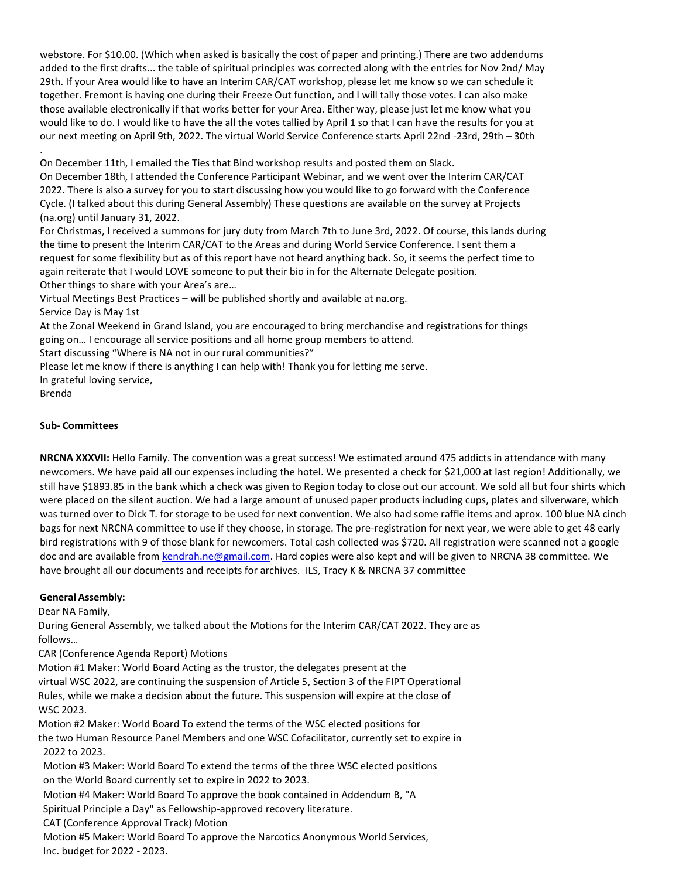webstore. For \$10.00. (Which when asked is basically the cost of paper and printing.) There are two addendums added to the first drafts... the table of spiritual principles was corrected along with the entries for Nov 2nd/ May 29th. If your Area would like to have an Interim CAR/CAT workshop, please let me know so we can schedule it together. Fremont is having one during their Freeze Out function, and I will tally those votes. I can also make those available electronically if that works better for your Area. Either way, please just let me know what you would like to do. I would like to have the all the votes tallied by April 1 so that I can have the results for you at our next meeting on April 9th, 2022. The virtual World Service Conference starts April 22nd -23rd, 29th – 30th

. On December 11th, I emailed the Ties that Bind workshop results and posted them on Slack.

On December 18th, I attended the Conference Participant Webinar, and we went over the Interim CAR/CAT 2022. There is also a survey for you to start discussing how you would like to go forward with the Conference Cycle. (I talked about this during General Assembly) These questions are available on the survey at Projects (na.org) until January 31, 2022.

For Christmas, I received a summons for jury duty from March 7th to June 3rd, 2022. Of course, this lands during the time to present the Interim CAR/CAT to the Areas and during World Service Conference. I sent them a request for some flexibility but as of this report have not heard anything back. So, it seems the perfect time to again reiterate that I would LOVE someone to put their bio in for the Alternate Delegate position. Other things to share with your Area's are…

Virtual Meetings Best Practices – will be published shortly and available at na.org.

Service Day is May 1st

At the Zonal Weekend in Grand Island, you are encouraged to bring merchandise and registrations for things going on… I encourage all service positions and all home group members to attend.

Start discussing "Where is NA not in our rural communities?"

Please let me know if there is anything I can help with! Thank you for letting me serve.

In grateful loving service,

Brenda

## **Sub- Committees**

**NRCNA XXXVII:** Hello Family. The convention was a great success! We estimated around 475 addicts in attendance with many newcomers. We have paid all our expenses including the hotel. We presented a check for \$21,000 at last region! Additionally, we still have \$1893.85 in the bank which a check was given to Region today to close out our account. We sold all but four shirts which were placed on the silent auction. We had a large amount of unused paper products including cups, plates and silverware, which was turned over to Dick T. for storage to be used for next convention. We also had some raffle items and aprox. 100 blue NA cinch bags for next NRCNA committee to use if they choose, in storage. The pre-registration for next year, we were able to get 48 early bird registrations with 9 of those blank for newcomers. Total cash collected was \$720. All registration were scanned not a google doc and are available fro[m kendrah.ne@gmail.com.](mailto:kendrah.ne@gmail.com) Hard copies were also kept and will be given to NRCNA 38 committee. We have brought all our documents and receipts for archives. ILS, Tracy K & NRCNA 37 committee

## **General Assembly:**

Dear NA Family,

During General Assembly, we talked about the Motions for the Interim CAR/CAT 2022. They are as follows…

CAR (Conference Agenda Report) Motions

Motion #1 Maker: World Board Acting as the trustor, the delegates present at the virtual WSC 2022, are continuing the suspension of Article 5, Section 3 of the FIPT Operational Rules, while we make a decision about the future. This suspension will expire at the close of WSC 2023.

Motion #2 Maker: World Board To extend the terms of the WSC elected positions for the two Human Resource Panel Members and one WSC Cofacilitator, currently set to expire in 2022 to 2023.

Motion #3 Maker: World Board To extend the terms of the three WSC elected positions on the World Board currently set to expire in 2022 to 2023.

Motion #4 Maker: World Board To approve the book contained in Addendum B, "A

Spiritual Principle a Day" as Fellowship-approved recovery literature.

CAT (Conference Approval Track) Motion

Motion #5 Maker: World Board To approve the Narcotics Anonymous World Services, Inc. budget for 2022 - 2023.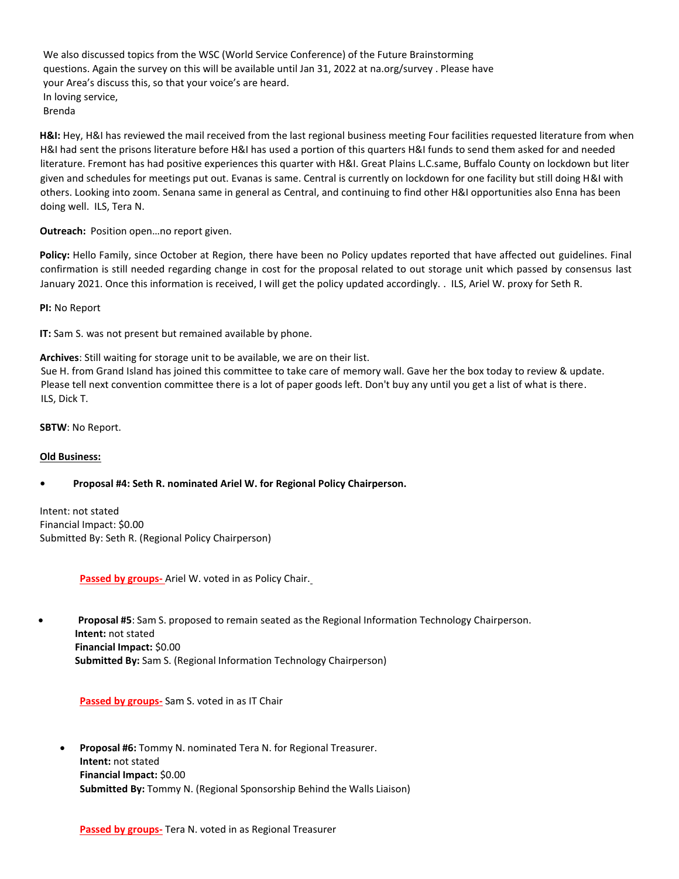We also discussed topics from the WSC (World Service Conference) of the Future Brainstorming questions. Again the survey on this will be available until Jan 31, 2022 at na.org/survey . Please have your Area's discuss this, so that your voice's are heard. In loving service, Brenda

**H&I:** Hey, H&I has reviewed the mail received from the last regional business meeting Four facilities requested literature from when H&I had sent the prisons literature before H&I has used a portion of this quarters H&I funds to send them asked for and needed literature. Fremont has had positive experiences this quarter with H&I. Great Plains L.C.same, Buffalo County on lockdown but liter given and schedules for meetings put out. Evanas is same. Central is currently on lockdown for one facility but still doing H&I with others. Looking into zoom. Senana same in general as Central, and continuing to find other H&I opportunities also Enna has been doing well. ILS, Tera N.

**Outreach:** Position open…no report given.

**Policy:** Hello Family, since October at Region, there have been no Policy updates reported that have affected out guidelines. Final confirmation is still needed regarding change in cost for the proposal related to out storage unit which passed by consensus last January 2021. Once this information is received, I will get the policy updated accordingly. . ILS, Ariel W. proxy for Seth R.

**PI:** No Report

**IT:** Sam S. was not present but remained available by phone.

**Archives**: Still waiting for storage unit to be available, we are on their list.

 Sue H. from Grand Island has joined this committee to take care of memory wall. Gave her the box today to review & update. Please tell next convention committee there is a lot of paper goods left. Don't buy any until you get a list of what is there. ILS, Dick T.

**SBTW**: No Report.

#### **Old Business:**

## **• Proposal #4: Seth R. nominated Ariel W. for Regional Policy Chairperson.**

Intent: not stated Financial Impact: \$0.00 Submitted By: Seth R. (Regional Policy Chairperson)

**Passed by groups-** Ariel W. voted in as Policy Chair.

• **Proposal #5**: Sam S. proposed to remain seated as the Regional Information Technology Chairperson. **Intent:** not stated **Financial Impact:** \$0.00 **Submitted By:** Sam S. (Regional Information Technology Chairperson)

**Passed by groups-** Sam S. voted in as IT Chair

• **Proposal #6:** Tommy N. nominated Tera N. for Regional Treasurer. **Intent:** not stated **Financial Impact:** \$0.00 **Submitted By:** Tommy N. (Regional Sponsorship Behind the Walls Liaison)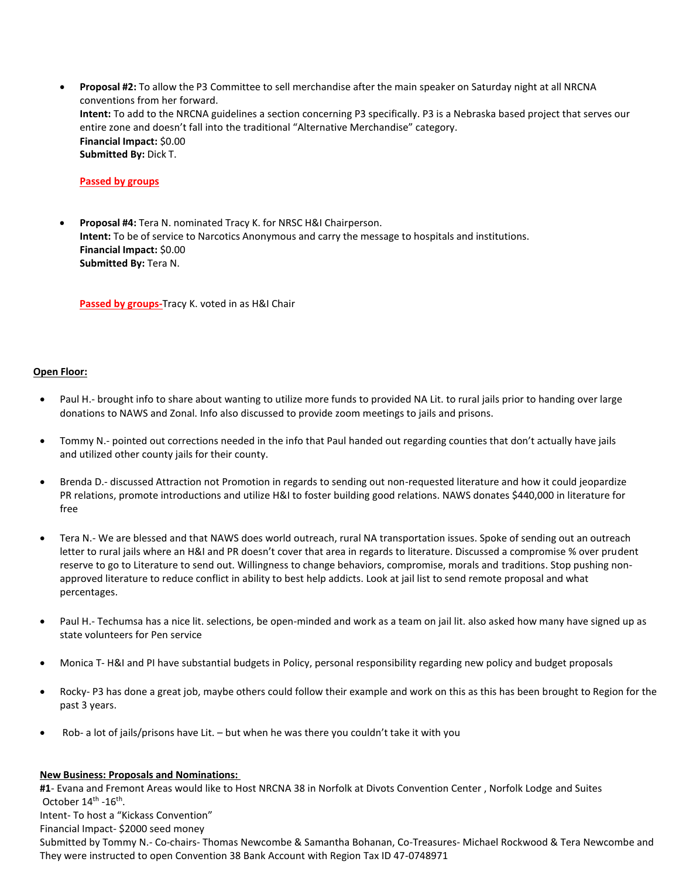• **Proposal #2:** To allow the P3 Committee to sell merchandise after the main speaker on Saturday night at all NRCNA conventions from her forward. **Intent:** To add to the NRCNA guidelines a section concerning P3 specifically. P3 is a Nebraska based project that serves our entire zone and doesn't fall into the traditional "Alternative Merchandise" category. **Financial Impact:** \$0.00 **Submitted By:** Dick T.

## **Passed by groups**

• **Proposal #4:** Tera N. nominated Tracy K. for NRSC H&I Chairperson. **Intent:** To be of service to Narcotics Anonymous and carry the message to hospitals and institutions. **Financial Impact:** \$0.00 **Submitted By:** Tera N.

**Passed by groups-**Tracy K. voted in as H&I Chair

## **Open Floor:**

- Paul H.- brought info to share about wanting to utilize more funds to provided NA Lit. to rural jails prior to handing over large donations to NAWS and Zonal. Info also discussed to provide zoom meetings to jails and prisons.
- Tommy N.- pointed out corrections needed in the info that Paul handed out regarding counties that don't actually have jails and utilized other county jails for their county.
- Brenda D.- discussed Attraction not Promotion in regards to sending out non-requested literature and how it could jeopardize PR relations, promote introductions and utilize H&I to foster building good relations. NAWS donates \$440,000 in literature for free
- Tera N.- We are blessed and that NAWS does world outreach, rural NA transportation issues. Spoke of sending out an outreach letter to rural jails where an H&I and PR doesn't cover that area in regards to literature. Discussed a compromise % over prudent reserve to go to Literature to send out. Willingness to change behaviors, compromise, morals and traditions. Stop pushing nonapproved literature to reduce conflict in ability to best help addicts. Look at jail list to send remote proposal and what percentages.
- Paul H.- Techumsa has a nice lit. selections, be open-minded and work as a team on jail lit. also asked how many have signed up as state volunteers for Pen service
- Monica T- H&I and PI have substantial budgets in Policy, personal responsibility regarding new policy and budget proposals
- Rocky- P3 has done a great job, maybe others could follow their example and work on this as this has been brought to Region for the past 3 years.
- Rob- a lot of jails/prisons have Lit. but when he was there you couldn't take it with you

#### **New Business: Proposals and Nominations:**

**#1**- Evana and Fremont Areas would like to Host NRCNA 38 in Norfolk at Divots Convention Center , Norfolk Lodge and Suites October 14<sup>th</sup> -16<sup>th</sup>.

Intent- To host a "Kickass Convention"

Financial Impact- \$2000 seed money

Submitted by Tommy N.- Co-chairs- Thomas Newcombe & Samantha Bohanan, Co-Treasures- Michael Rockwood & Tera Newcombe and They were instructed to open Convention 38 Bank Account with Region Tax ID 47-0748971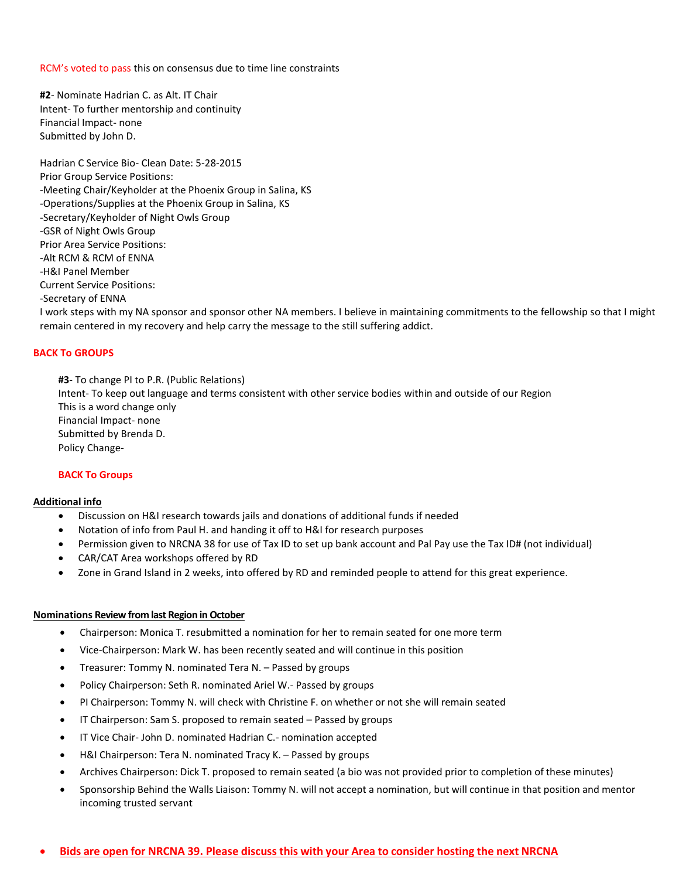RCM's voted to pass this on consensus due to time line constraints

**#2**- Nominate Hadrian C. as Alt. IT Chair Intent- To further mentorship and continuity Financial Impact- none Submitted by John D.

Hadrian C Service Bio- Clean Date: 5-28-2015 Prior Group Service Positions: -Meeting Chair/Keyholder at the Phoenix Group in Salina, KS -Operations/Supplies at the Phoenix Group in Salina, KS -Secretary/Keyholder of Night Owls Group -GSR of Night Owls Group Prior Area Service Positions: -Alt RCM & RCM of ENNA -H&I Panel Member Current Service Positions: -Secretary of ENNA

I work steps with my NA sponsor and sponsor other NA members. I believe in maintaining commitments to the fellowship so that I might remain centered in my recovery and help carry the message to the still suffering addict.

#### **BACK To GROUPS**

**#3**- To change PI to P.R. (Public Relations) Intent- To keep out language and terms consistent with other service bodies within and outside of our Region This is a word change only Financial Impact- none Submitted by Brenda D. Policy Change-

#### **BACK To Groups**

#### **Additional info**

- Discussion on H&I research towards jails and donations of additional funds if needed
- Notation of info from Paul H. and handing it off to H&I for research purposes
- Permission given to NRCNA 38 for use of Tax ID to set up bank account and Pal Pay use the Tax ID# (not individual)
- CAR/CAT Area workshops offered by RD
- Zone in Grand Island in 2 weeks, into offered by RD and reminded people to attend for this great experience.

#### **Nominations Review from last Region in October**

- Chairperson: Monica T. resubmitted a nomination for her to remain seated for one more term
- Vice-Chairperson: Mark W. has been recently seated and will continue in this position
- Treasurer: Tommy N. nominated Tera N. Passed by groups
- Policy Chairperson: Seth R. nominated Ariel W.- Passed by groups
- PI Chairperson: Tommy N. will check with Christine F. on whether or not she will remain seated
- IT Chairperson: Sam S. proposed to remain seated Passed by groups
- IT Vice Chair- John D. nominated Hadrian C.- nomination accepted
- H&I Chairperson: Tera N. nominated Tracy K. Passed by groups
- Archives Chairperson: Dick T. proposed to remain seated (a bio was not provided prior to completion of these minutes)
- Sponsorship Behind the Walls Liaison: Tommy N. will not accept a nomination, but will continue in that position and mentor incoming trusted servant